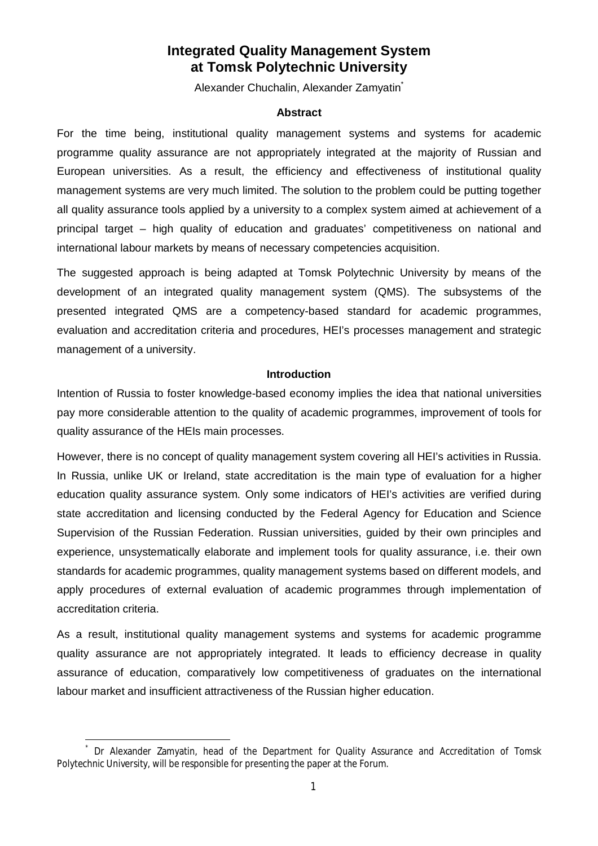# **Integrated Quality Management System at Tomsk Polytechnic University**

Alexander Chuchalin, Alexander Zamyatin<sup>\*</sup>

#### **Abstract**

For the time being, institutional quality management systems and systems for academic programme quality assurance are not appropriately integrated at the majority of Russian and European universities. As a result, the efficiency and effectiveness of institutional quality management systems are very much limited. The solution to the problem could be putting together all quality assurance tools applied by a university to a complex system aimed at achievement of a principal target – high quality of education and graduates' competitiveness on national and international labour markets by means of necessary competencies acquisition.

The suggested approach is being adapted at Tomsk Polytechnic University by means of the development of an integrated quality management system (QMS). The subsystems of the presented integrated QMS are a competency-based standard for academic programmes, evaluation and accreditation criteria and procedures, HEI's processes management and strategic management of a university.

### **Introduction**

Intention of Russia to foster knowledge-based economy implies the idea that national universities pay more considerable attention to the quality of academic programmes, improvement of tools for quality assurance of the HEIs main processes.

However, there is no concept of quality management system covering all HEI's activities in Russia. In Russia, unlike UK or Ireland, state accreditation is the main type of evaluation for a higher education quality assurance system. Only some indicators of HEI's activities are verified during state accreditation and licensing conducted by the Federal Agency for Education and Science Supervision of the Russian Federation. Russian universities, guided by their own principles and experience, unsystematically elaborate and implement tools for quality assurance, i.e. their own standards for academic programmes, quality management systems based on different models, and apply procedures of external evaluation of academic programmes through implementation of accreditation criteria.

As a result, institutional quality management systems and systems for academic programme quality assurance are not appropriately integrated. It leads to efficiency decrease in quality assurance of education, comparatively low competitiveness of graduates on the international labour market and insufficient attractiveness of the Russian higher education.

 $\ddot{\phantom{a}}$ 

<sup>\*</sup> Dr Alexander Zamyatin, head of the Department for Quality Assurance and Accreditation of Tomsk Polytechnic University, will be responsible for presenting the paper at the Forum.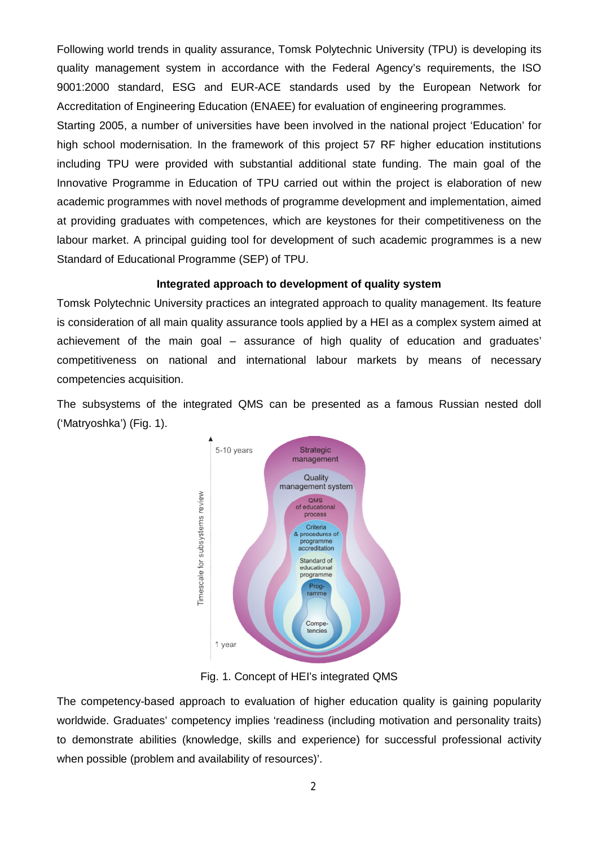Following world trends in quality assurance, Tomsk Polytechnic University (TPU) is developing its quality management system in accordance with the Federal Agency's requirements, the ISO 9001:2000 standard, ESG and EUR-ACE standards used by the European Network for Accreditation of Engineering Education (ENAEE) for evaluation of engineering programmes.

Starting 2005, a number of universities have been involved in the national project 'Education' for high school modernisation. In the framework of this project 57 RF higher education institutions including TPU were provided with substantial additional state funding. The main goal of the Innovative Programme in Education of TPU carried out within the project is elaboration of new academic programmes with novel methods of programme development and implementation, aimed at providing graduates with competences, which are keystones for their competitiveness on the labour market. A principal guiding tool for development of such academic programmes is a new Standard of Educational Programme (SEP) of TPU.

## **Integrated approach to development of quality system**

Tomsk Polytechnic University practices an integrated approach to quality management. Its feature is consideration of all main quality assurance tools applied by a HEI as a complex system aimed at achievement of the main goal – assurance of high quality of education and graduates' competitiveness on national and international labour markets by means of necessary competencies acquisition.

The subsystems of the integrated QMS can be presented as a famous Russian nested doll ('Matryoshka') (Fig. 1).



Fig. 1. Concept of HEI's integrated QMS

The competency-based approach to evaluation of higher education quality is gaining popularity worldwide. Graduates' competency implies 'readiness (including motivation and personality traits) to demonstrate abilities (knowledge, skills and experience) for successful professional activity when possible (problem and availability of resources)'.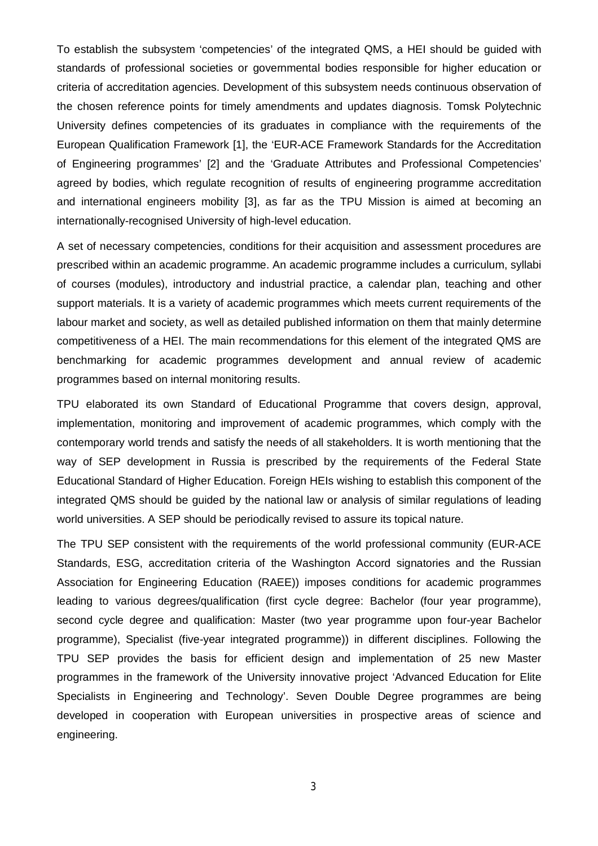To establish the subsystem 'competencies' of the integrated QMS, a HEI should be guided with standards of professional societies or governmental bodies responsible for higher education or criteria of accreditation agencies. Development of this subsystem needs continuous observation of the chosen reference points for timely amendments and updates diagnosis. Tomsk Polytechnic University defines competencies of its graduates in compliance with the requirements of the European Qualification Framework [1], the 'EUR-ACE Framework Standards for the Accreditation of Engineering programmes' [2] and the 'Graduate Attributes and Professional Competencies' agreed by bodies, which regulate recognition of results of engineering programme accreditation and international engineers mobility [3], as far as the TPU Mission is aimed at becoming an internationally-recognised University of high-level education.

A set of necessary competencies, conditions for their acquisition and assessment procedures are prescribed within an academic programme. An academic programme includes a curriculum, syllabi of courses (modules), introductory and industrial practice, a calendar plan, teaching and other support materials. It is a variety of academic programmes which meets current requirements of the labour market and society, as well as detailed published information on them that mainly determine competitiveness of a HEI. The main recommendations for this element of the integrated QMS are benchmarking for academic programmes development and annual review of academic programmes based on internal monitoring results.

TPU elaborated its own Standard of Educational Programme that covers design, approval, implementation, monitoring and improvement of academic programmes, which comply with the contemporary world trends and satisfy the needs of all stakeholders. It is worth mentioning that the way of SEP development in Russia is prescribed by the requirements of the Federal State Educational Standard of Higher Education. Foreign HEIs wishing to establish this component of the integrated QMS should be guided by the national law or analysis of similar regulations of leading world universities. A SEP should be periodically revised to assure its topical nature.

The TPU SEP consistent with the requirements of the world professional community (EUR-ACE Standards, ESG, accreditation criteria of the Washington Accord signatories and the Russian Association for Engineering Education (RAEE)) imposes conditions for academic programmes leading to various degrees/qualification (first cycle degree: Bachelor (four year programme), second cycle degree and qualification: Master (two year programme upon four-year Bachelor programme), Specialist (five-year integrated programme)) in different disciplines. Following the TPU SEP provides the basis for efficient design and implementation of 25 new Master programmes in the framework of the University innovative project 'Advanced Education for Elite Specialists in Engineering and Technology'. Seven Double Degree programmes are being developed in cooperation with European universities in prospective areas of science and engineering.

3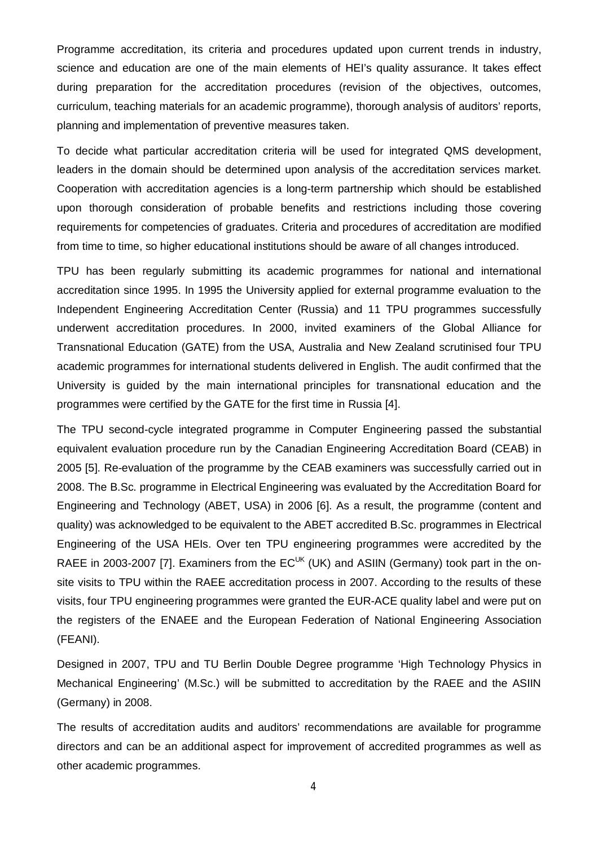Programme accreditation, its criteria and procedures updated upon current trends in industry, science and education are one of the main elements of HEI's quality assurance. It takes effect during preparation for the accreditation procedures (revision of the objectives, outcomes, curriculum, teaching materials for an academic programme), thorough analysis of auditors' reports, planning and implementation of preventive measures taken.

To decide what particular accreditation criteria will be used for integrated QMS development, leaders in the domain should be determined upon analysis of the accreditation services market. Cooperation with accreditation agencies is a long-term partnership which should be established upon thorough consideration of probable benefits and restrictions including those covering requirements for competencies of graduates. Criteria and procedures of accreditation are modified from time to time, so higher educational institutions should be aware of all changes introduced.

TPU has been regularly submitting its academic programmes for national and international accreditation since 1995. In 1995 the University applied for external programme evaluation to the Independent Engineering Accreditation Center (Russia) and 11 TPU programmes successfully underwent accreditation procedures. In 2000, invited examiners of the Global Alliance for Transnational Education (GATE) from the USA, Australia and New Zealand scrutinised four TPU academic programmes for international students delivered in English. The audit confirmed that the University is guided by the main international principles for transnational education and the programmes were certified by the GATE for the first time in Russia [4].

The TPU second-cycle integrated programme in Computer Engineering passed the substantial equivalent evaluation procedure run by the Canadian Engineering Accreditation Board (CEAB) in 2005 [5]. Re-evaluation of the programme by the CEAB examiners was successfully carried out in 2008. The B.Sc. programme in Electrical Engineering was evaluated by the Accreditation Board for Engineering and Technology (ABET, USA) in 2006 [6]. As a result, the programme (content and quality) was acknowledged to be equivalent to the ABET accredited B.Sc. programmes in Electrical Engineering of the USA HEIs. Over ten TPU engineering programmes were accredited by the RAEE in 2003-2007 [7]. Examiners from the  $EC^{UK}$  (UK) and ASIIN (Germany) took part in the onsite visits to TPU within the RAEE accreditation process in 2007. According to the results of these visits, four TPU engineering programmes were granted the EUR-ACE quality label and were put on the registers of the ENAEE and the European Federation of National Engineering Association (FEANI).

Designed in 2007, TPU and TU Berlin Double Degree programme 'High Technology Physics in Mechanical Engineering' (M.Sc.) will be submitted to accreditation by the RAEE and the ASIIN (Germany) in 2008.

The results of accreditation audits and auditors' recommendations are available for programme directors and can be an additional aspect for improvement of accredited programmes as well as other academic programmes.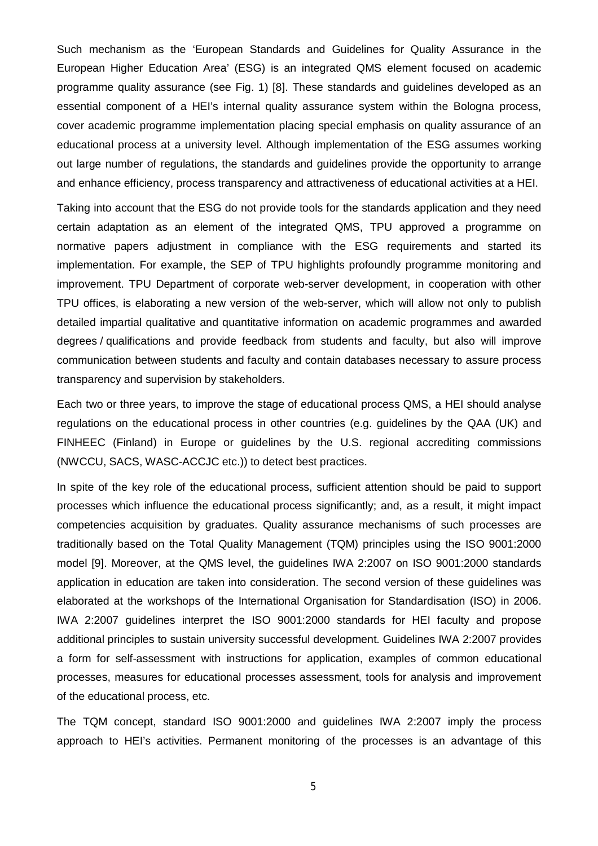Such mechanism as the 'European Standards and Guidelines for Quality Assurance in the European Higher Education Area' (ESG) is an integrated QMS element focused on academic programme quality assurance (see Fig. 1) [8]. These standards and guidelines developed as an essential component of a HEI's internal quality assurance system within the Bologna process, cover academic programme implementation placing special emphasis on quality assurance of an educational process at a university level. Although implementation of the ESG assumes working out large number of regulations, the standards and guidelines provide the opportunity to arrange and enhance efficiency, process transparency and attractiveness of educational activities at a HEI.

Taking into account that the ESG do not provide tools for the standards application and they need certain adaptation as an element of the integrated QMS, TPU approved a programme on normative papers adjustment in compliance with the ESG requirements and started its implementation. For example, the SEP of TPU highlights profoundly programme monitoring and improvement. TPU Department of corporate web-server development, in cooperation with other TPU offices, is elaborating a new version of the web-server, which will allow not only to publish detailed impartial qualitative and quantitative information on academic programmes and awarded degrees / qualifications and provide feedback from students and faculty, but also will improve communication between students and faculty and contain databases necessary to assure process transparency and supervision by stakeholders.

Each two or three years, to improve the stage of educational process QMS, a HEI should analyse regulations on the educational process in other countries (e.g. guidelines by the QAA (UK) and FINHEEC (Finland) in Europe or guidelines by the U.S. regional accrediting commissions (NWCCU, SACS, WASC-ACCJC etc.)) to detect best practices.

In spite of the key role of the educational process, sufficient attention should be paid to support processes which influence the educational process significantly; and, as a result, it might impact competencies acquisition by graduates. Quality assurance mechanisms of such processes are traditionally based on the Total Quality Management (TQM) principles using the ISO 9001:2000 model [9]. Moreover, at the QMS level, the guidelines IWA 2:2007 on ISO 9001:2000 standards application in education are taken into consideration. The second version of these guidelines was elaborated at the workshops of the International Organisation for Standardisation (ISO) in 2006. IWA 2:2007 guidelines interpret the ISO 9001:2000 standards for HEI faculty and propose additional principles to sustain university successful development. Guidelines IWA 2:2007 provides a form for self-assessment with instructions for application, examples of common educational processes, measures for educational processes assessment, tools for analysis and improvement of the educational process, etc.

The TQM concept, standard ISO 9001:2000 and guidelines IWA 2:2007 imply the process approach to HEI's activities. Permanent monitoring of the processes is an advantage of this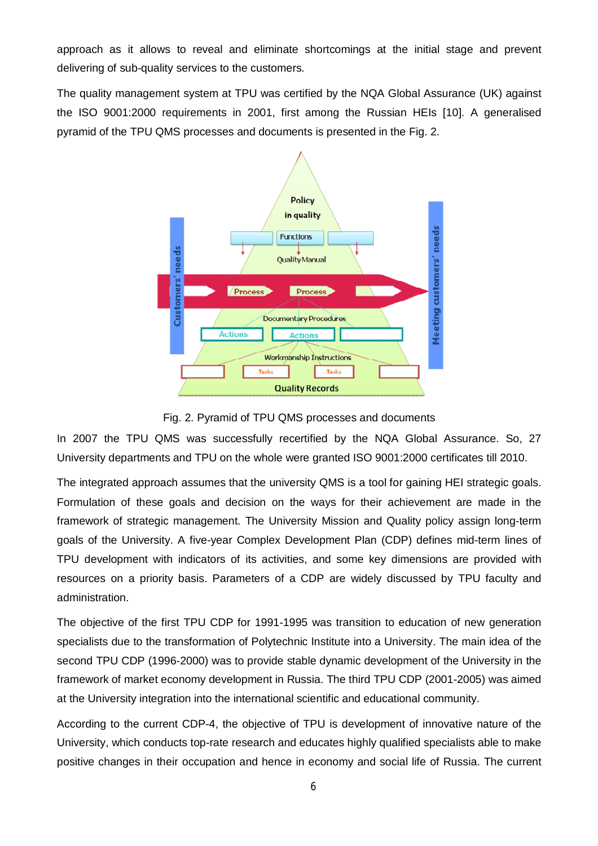approach as it allows to reveal and eliminate shortcomings at the initial stage and prevent delivering of sub-quality services to the customers.

The quality management system at TPU was certified by the NQA Global Assurance (UK) against the ISO 9001:2000 requirements in 2001, first among the Russian HEIs [10]. A generalised pyramid of the TPU QMS processes and documents is presented in the Fig. 2.



#### Fig. 2. Pyramid of TPU QMS processes and documents

In 2007 the TPU QMS was successfully recertified by the NQA Global Assurance. So, 27 University departments and TPU on the whole were granted ISO 9001:2000 certificates till 2010.

The integrated approach assumes that the university QMS is a tool for gaining HEI strategic goals. Formulation of these goals and decision on the ways for their achievement are made in the framework of strategic management. The University Mission and Quality policy assign long-term goals of the University. A five-year Complex Development Plan (CDP) defines mid-term lines of TPU development with indicators of its activities, and some key dimensions are provided with resources on a priority basis. Parameters of a CDP are widely discussed by TPU faculty and administration.

The objective of the first TPU CDP for 1991-1995 was transition to education of new generation specialists due to the transformation of Polytechnic Institute into a University. The main idea of the second TPU CDP (1996-2000) was to provide stable dynamic development of the University in the framework of market economy development in Russia. The third TPU CDP (2001-2005) was aimed at the University integration into the international scientific and educational community.

According to the current CDP-4, the objective of TPU is development of innovative nature of the University, which conducts top-rate research and educates highly qualified specialists able to make positive changes in their occupation and hence in economy and social life of Russia. The current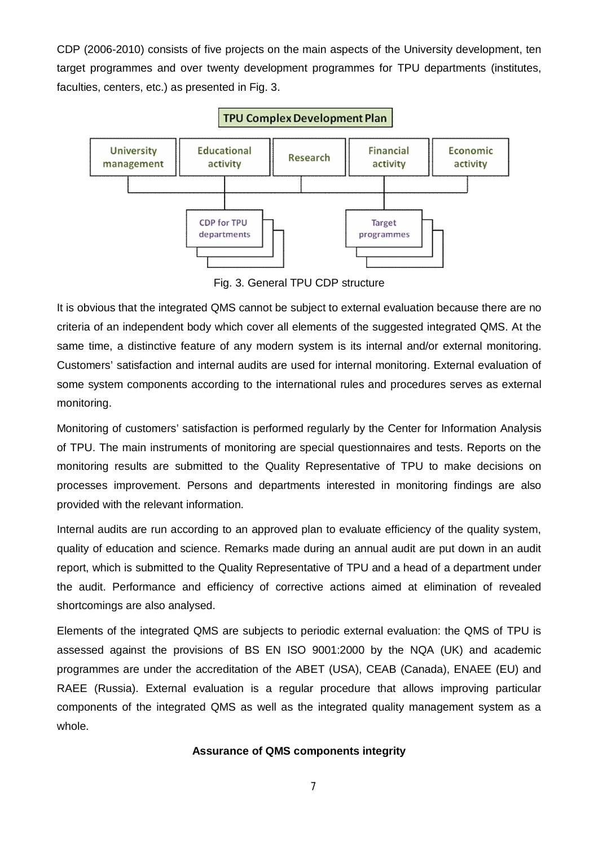CDP (2006-2010) consists of five projects on the main aspects of the University development, ten target programmes and over twenty development programmes for TPU departments (institutes, faculties, centers, etc.) as presented in Fig. 3.



Fig. 3. General TPU CDP structure

It is obvious that the integrated QMS cannot be subject to external evaluation because there are no criteria of an independent body which cover all elements of the suggested integrated QMS. At the same time, a distinctive feature of any modern system is its internal and/or external monitoring. Customers' satisfaction and internal audits are used for internal monitoring. External evaluation of some system components according to the international rules and procedures serves as external monitoring.

Monitoring of customers' satisfaction is performed regularly by the Center for Information Analysis of TPU. The main instruments of monitoring are special questionnaires and tests. Reports on the monitoring results are submitted to the Quality Representative of TPU to make decisions on processes improvement. Persons and departments interested in monitoring findings are also provided with the relevant information.

Internal audits are run according to an approved plan to evaluate efficiency of the quality system, quality of education and science. Remarks made during an annual audit are put down in an audit report, which is submitted to the Quality Representative of TPU and a head of a department under the audit. Performance and efficiency of corrective actions aimed at elimination of revealed shortcomings are also analysed.

Elements of the integrated QMS are subjects to periodic external evaluation: the QMS of TPU is assessed against the provisions of BS EN ISO 9001:2000 by the NQA (UK) and academic programmes are under the accreditation of the ABET (USA), CEAB (Canada), ENAEE (EU) and RAEE (Russia). External evaluation is a regular procedure that allows improving particular components of the integrated QMS as well as the integrated quality management system as a whole.

## **Assurance of QMS components integrity**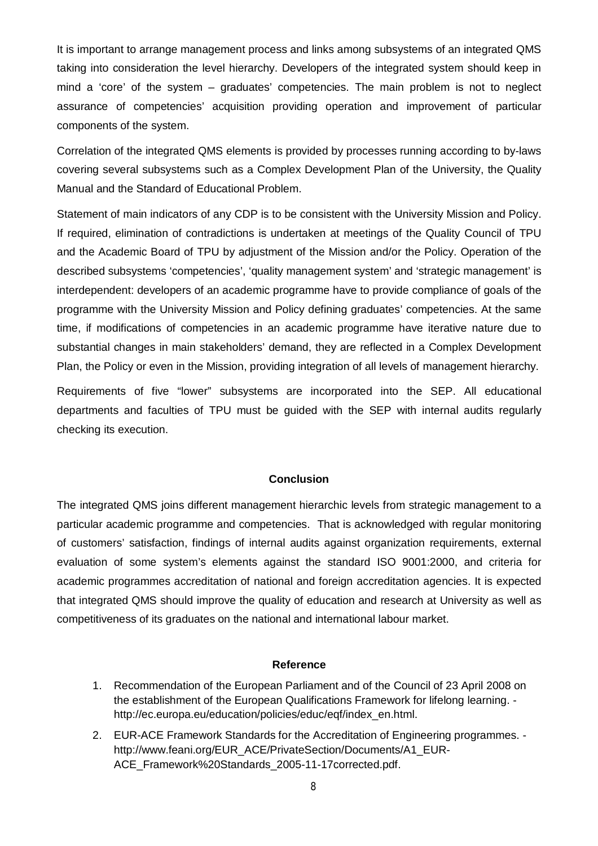It is important to arrange management process and links among subsystems of an integrated QMS taking into consideration the level hierarchy. Developers of the integrated system should keep in mind a 'core' of the system – graduates' competencies. The main problem is not to neglect assurance of competencies' acquisition providing operation and improvement of particular components of the system.

Correlation of the integrated QMS elements is provided by processes running according to by-laws covering several subsystems such as a Complex Development Plan of the University, the Quality Manual and the Standard of Educational Problem.

Statement of main indicators of any CDP is to be consistent with the University Mission and Policy. If required, elimination of contradictions is undertaken at meetings of the Quality Council of TPU and the Academic Board of TPU by adjustment of the Mission and/or the Policy. Operation of the described subsystems 'competencies', 'quality management system' and 'strategic management' is interdependent: developers of an academic programme have to provide compliance of goals of the programme with the University Mission and Policy defining graduates' competencies. At the same time, if modifications of competencies in an academic programme have iterative nature due to substantial changes in main stakeholders' demand, they are reflected in a Complex Development Plan, the Policy or even in the Mission, providing integration of all levels of management hierarchy.

Requirements of five "lower" subsystems are incorporated into the SEP. All educational departments and faculties of TPU must be guided with the SEP with internal audits regularly checking its execution.

## **Conclusion**

The integrated QMS joins different management hierarchic levels from strategic management to a particular academic programme and competencies. That is acknowledged with regular monitoring of customers' satisfaction, findings of internal audits against organization requirements, external evaluation of some system's elements against the standard ISO 9001:2000, and criteria for academic programmes accreditation of national and foreign accreditation agencies. It is expected that integrated QMS should improve the quality of education and research at University as well as competitiveness of its graduates on the national and international labour market.

### **Reference**

- 1. Recommendation of the European Parliament and of the Council of 23 April 2008 on the establishment of the European Qualifications Framework for lifelong learning. http://ec.europa.eu/education/policies/educ/eqf/index\_en.html.
- 2. EUR-ACE Framework Standards for the Accreditation of Engineering programmes. http://www.feani.org/EUR\_ACE/PrivateSection/Documents/A1\_EUR-ACE\_Framework%20Standards\_2005-11-17corrected.pdf.